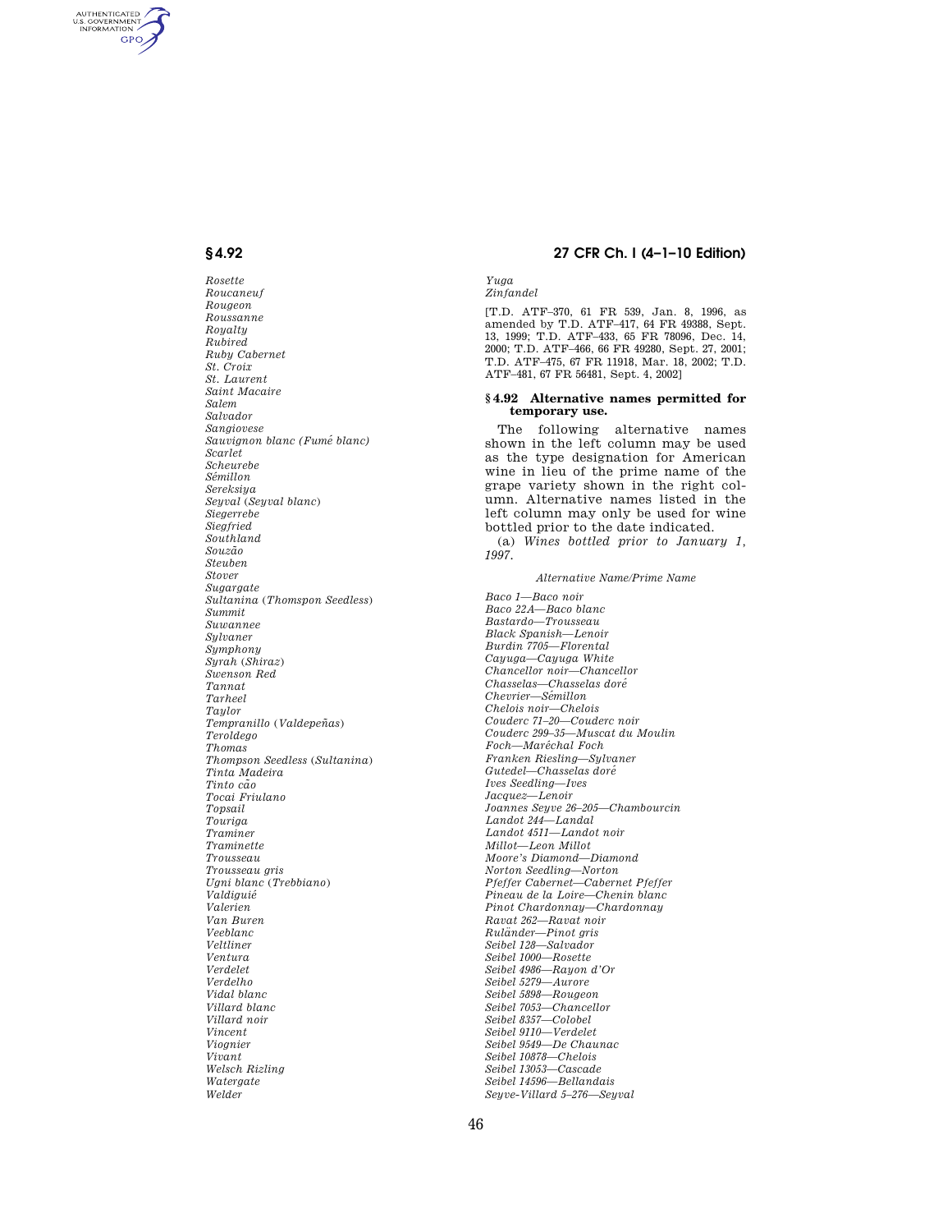AUTHENTICATED<br>U.S. GOVERNMENT<br>INFORMATION **GPO** 

> *Rosette Roucaneuf Rougeon Roussanne Royalty Rubired Ruby Cabernet St. Croix St. Laurent Saint Macaire Salem Salvador Sangiovese Sauvignon blanc (Fume´ blanc) Scarlet Scheurebe Se´millon Sereksiya Seyval* (*Seyval blanc*) *Siegerrebe Siegfried Southland Souza˜ o Steuben Stover Sugargate Sultanina* (*Thomspon Seedless*) *Summit Suwannee Sylvaner Symphony Syrah* (*Shiraz*) *Swenson Red Tannat Tarheel Taylor Tempranillo* (*Valdepen˜ as*) *Teroldego Thomas Thompson Seedless* (*Sultanina*) *Tinta Madeira Tinto ca˜ o Tocai Friulano Topsail Touriga Traminer Traminette Trousseau Trousseau gris Ugni blanc* (*Trebbiano*) *Valdiguie´ Valerien Van Buren Veeblanc Veltliner Ventura Verdelet Verdelho Vidal blanc Villard blanc Villard noir Vincent Viognier Vivant Welsch Rizling Watergate Welder*

#### **§ 4.92 27 CFR Ch. I (4–1–10 Edition)**

*Yuga Zinfandel* 

[T.D. ATF–370, 61 FR 539, Jan. 8, 1996, as amended by T.D. ATF–417, 64 FR 49388, Sept. 13, 1999; T.D. ATF–433, 65 FR 78096, Dec. 14, 2000; T.D. ATF–466, 66 FR 49280, Sept. 27, 2001; T.D. ATF–475, 67 FR 11918, Mar. 18, 2002; T.D. ATF–481, 67 FR 56481, Sept. 4, 2002]

#### **§ 4.92 Alternative names permitted for temporary use.**

The following alternative names shown in the left column may be used as the type designation for American wine in lieu of the prime name of the grape variety shown in the right column. Alternative names listed in the left column may only be used for wine bottled prior to the date indicated. (a) *Wines bottled prior to January 1,* 

*1997.* 

#### *Alternative Name/Prime Name*

*Baco 1—Baco noir Baco 22A—Baco blanc Bastardo—Trousseau Black Spanish—Lenoir Burdin 7705—Florental Cayuga—Cayuga White Chancellor noir—Chancellor Chasselas—Chasselas dore´ Chevrier—Se´millon Chelois noir—Chelois Couderc 71–20—Couderc noir Couderc 299–35—Muscat du Moulin Foch—Mare´chal Foch Franken Riesling—Sylvaner Gutedel—Chasselas dore´ Ives Seedling—Ives Jacquez—Lenoir Joannes Seyve 26–205—Chambourcin Landot 244—Landal Landot 4511—Landot noir Millot—Leon Millot Moore's Diamond—Diamond Norton Seedling—Norton Pfeffer Cabernet—Cabernet Pfeffer Pineau de la Loire—Chenin blanc Pinot Chardonnay—Chardonnay Ravat 262—Ravat noir Rula¨nder—Pinot gris Seibel 128—Salvador Seibel 1000—Rosette Seibel 4986—Rayon d'Or Seibel 5279—Aurore Seibel 5898—Rougeon Seibel 7053—Chancellor Seibel 8357—Colobel Seibel 9110—Verdelet Seibel 9549—De Chaunac Seibel 10878—Chelois Seibel 13053—Cascade Seibel 14596—Bellandais Seyve-Villard 5–276—Seyval*